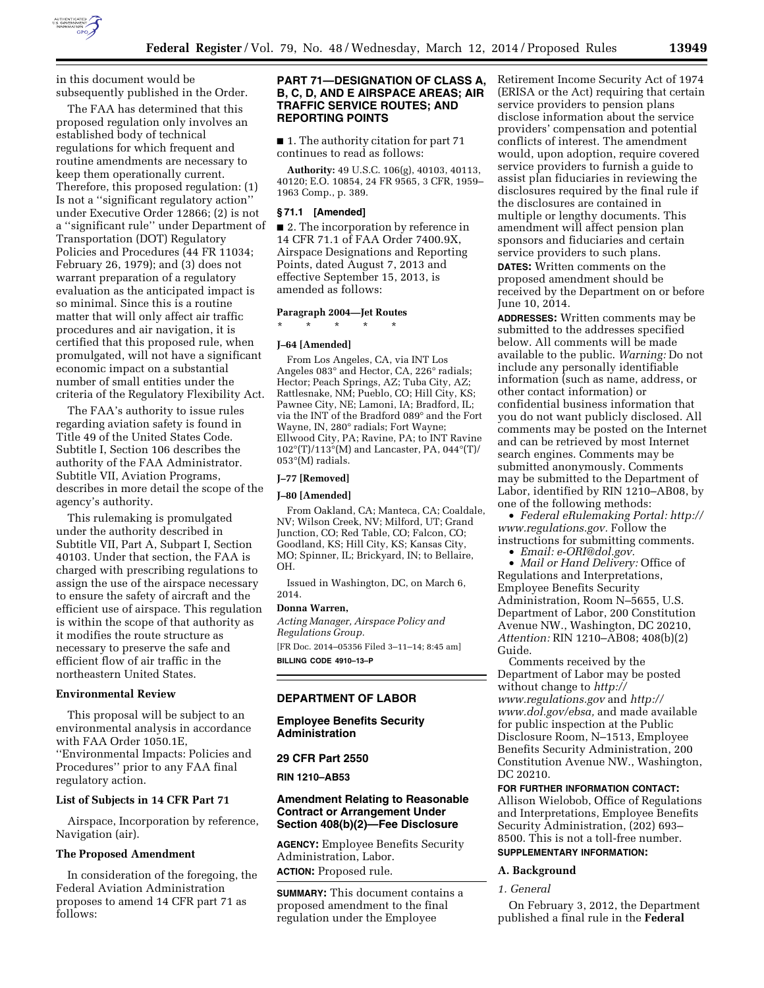

in this document would be subsequently published in the Order.

The FAA has determined that this proposed regulation only involves an established body of technical regulations for which frequent and routine amendments are necessary to keep them operationally current. Therefore, this proposed regulation: (1) Is not a ''significant regulatory action'' under Executive Order 12866; (2) is not a ''significant rule'' under Department of Transportation (DOT) Regulatory Policies and Procedures (44 FR 11034; February 26, 1979); and (3) does not warrant preparation of a regulatory evaluation as the anticipated impact is so minimal. Since this is a routine matter that will only affect air traffic procedures and air navigation, it is certified that this proposed rule, when promulgated, will not have a significant economic impact on a substantial number of small entities under the criteria of the Regulatory Flexibility Act.

The FAA's authority to issue rules regarding aviation safety is found in Title 49 of the United States Code. Subtitle I, Section 106 describes the authority of the FAA Administrator. Subtitle VII, Aviation Programs, describes in more detail the scope of the agency's authority.

This rulemaking is promulgated under the authority described in Subtitle VII, Part A, Subpart I, Section 40103. Under that section, the FAA is charged with prescribing regulations to assign the use of the airspace necessary to ensure the safety of aircraft and the efficient use of airspace. This regulation is within the scope of that authority as it modifies the route structure as necessary to preserve the safe and efficient flow of air traffic in the northeastern United States.

# **Environmental Review**

This proposal will be subject to an environmental analysis in accordance with FAA Order 1050.1E, ''Environmental Impacts: Policies and Procedures'' prior to any FAA final regulatory action.

# **List of Subjects in 14 CFR Part 71**

Airspace, Incorporation by reference, Navigation (air).

## **The Proposed Amendment**

In consideration of the foregoing, the Federal Aviation Administration proposes to amend 14 CFR part 71 as follows:

# **PART 71—DESIGNATION OF CLASS A, B, C, D, AND E AIRSPACE AREAS; AIR TRAFFIC SERVICE ROUTES; AND REPORTING POINTS**

■ 1. The authority citation for part 71 continues to read as follows:

**Authority:** 49 U.S.C. 106(g), 40103, 40113, 40120; E.O. 10854, 24 FR 9565, 3 CFR, 1959– 1963 Comp., p. 389.

## **§ 71.1 [Amended]**

■ 2. The incorporation by reference in 14 CFR 71.1 of FAA Order 7400.9X, Airspace Designations and Reporting Points, dated August 7, 2013 and effective September 15, 2013, is amended as follows:

## **Paragraph 2004—Jet Routes**

# \* \* \* \* \*

## **J–64 [Amended]**

From Los Angeles, CA, via INT Los Angeles 083° and Hector, CA, 226° radials; Hector; Peach Springs, AZ; Tuba City, AZ; Rattlesnake, NM; Pueblo, CO; Hill City, KS; Pawnee City, NE; Lamoni, IA; Bradford, IL; via the INT of the Bradford 089° and the Fort Wayne, IN, 280° radials; Fort Wayne; Ellwood City, PA; Ravine, PA; to INT Ravine 102°(T)/113°(M) and Lancaster, PA, 044°(T)/ 053°(M) radials.

# **J–77 [Removed]**

# **J–80 [Amended]**

From Oakland, CA; Manteca, CA; Coaldale, NV; Wilson Creek, NV; Milford, UT; Grand Junction, CO; Red Table, CO; Falcon, CO; Goodland, KS; Hill City, KS; Kansas City, MO; Spinner, IL; Brickyard, IN; to Bellaire, OH.

Issued in Washington, DC, on March 6, 2014.

# **Donna Warren,**

*Acting Manager, Airspace Policy and Regulations Group.* 

[FR Doc. 2014–05356 Filed 3–11–14; 8:45 am] **BILLING CODE 4910–13–P** 

# **DEPARTMENT OF LABOR**

# **Employee Benefits Security Administration**

# **29 CFR Part 2550**

**RIN 1210–AB53** 

# **Amendment Relating to Reasonable Contract or Arrangement Under Section 408(b)(2)—Fee Disclosure**

**AGENCY:** Employee Benefits Security Administration, Labor.

**ACTION:** Proposed rule.

**SUMMARY:** This document contains a proposed amendment to the final regulation under the Employee

Retirement Income Security Act of 1974 (ERISA or the Act) requiring that certain service providers to pension plans disclose information about the service providers' compensation and potential conflicts of interest. The amendment would, upon adoption, require covered service providers to furnish a guide to assist plan fiduciaries in reviewing the disclosures required by the final rule if the disclosures are contained in multiple or lengthy documents. This amendment will affect pension plan sponsors and fiduciaries and certain service providers to such plans. **DATES:** Written comments on the proposed amendment should be received by the Department on or before June 10, 2014.

**ADDRESSES:** Written comments may be submitted to the addresses specified below. All comments will be made available to the public. *Warning:* Do not include any personally identifiable information (such as name, address, or other contact information) or confidential business information that you do not want publicly disclosed. All comments may be posted on the Internet and can be retrieved by most Internet search engines. Comments may be submitted anonymously. Comments may be submitted to the Department of Labor, identified by RIN 1210–AB08, by one of the following methods:

• *Federal eRulemaking Portal: [http://](http://www.regulations.gov)  [www.regulations.gov.](http://www.regulations.gov)* Follow the instructions for submitting comments.

• *Email: [e-ORI@dol.gov.](mailto:e-ORI@dol.gov)* 

• *Mail or Hand Delivery:* Office of Regulations and Interpretations, Employee Benefits Security Administration, Room N–5655, U.S. Department of Labor, 200 Constitution Avenue NW., Washington, DC 20210, *Attention:* RIN 1210–AB08; 408(b)(2) Guide.

Comments received by the Department of Labor may be posted without change to *[http://](http://www.regulations.gov) [www.regulations.gov](http://www.regulations.gov)* and *[http://](http://www.dol.gov/ebsa) [www.dol.gov/ebsa,](http://www.dol.gov/ebsa)* and made available for public inspection at the Public Disclosure Room, N–1513, Employee Benefits Security Administration, 200 Constitution Avenue NW., Washington, DC 20210.

**FOR FURTHER INFORMATION CONTACT:**  Allison Wielobob, Office of Regulations and Interpretations, Employee Benefits Security Administration, (202) 693– 8500. This is not a toll-free number. **SUPPLEMENTARY INFORMATION:** 

# **A. Background**

*1. General* 

On February 3, 2012, the Department published a final rule in the **Federal**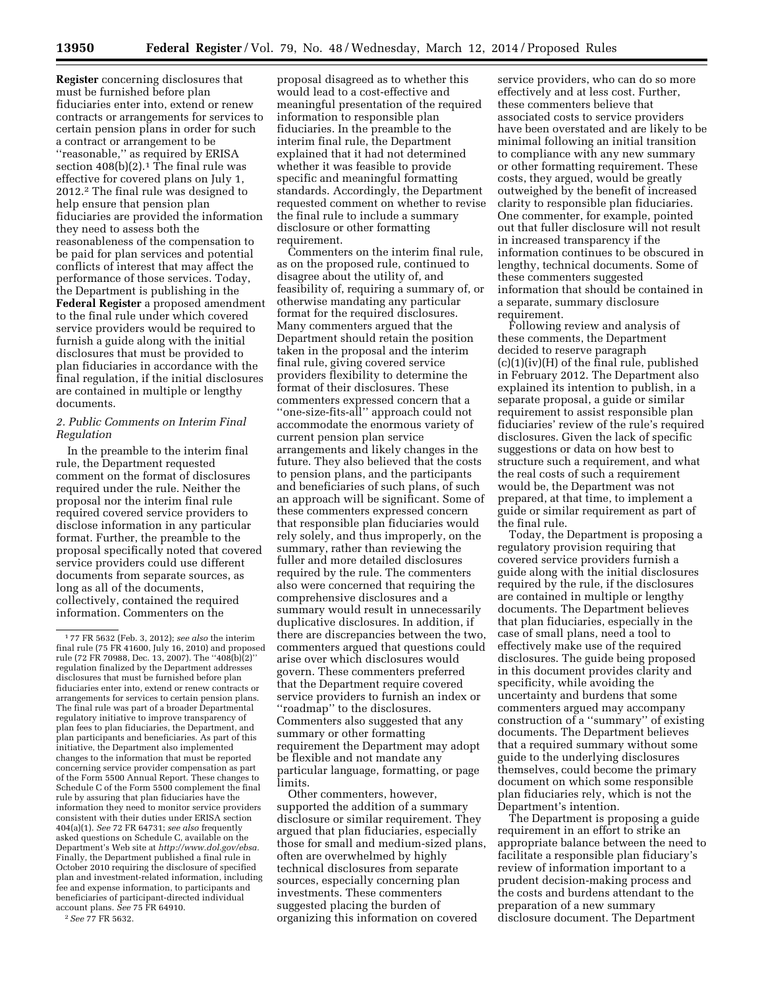**Register** concerning disclosures that must be furnished before plan fiduciaries enter into, extend or renew contracts or arrangements for services to certain pension plans in order for such a contract or arrangement to be ''reasonable,'' as required by ERISA section  $408(b)(2)$ .<sup>1</sup> The final rule was effective for covered plans on July 1, 2012.2 The final rule was designed to help ensure that pension plan fiduciaries are provided the information they need to assess both the reasonableness of the compensation to be paid for plan services and potential conflicts of interest that may affect the performance of those services. Today, the Department is publishing in the **Federal Register** a proposed amendment to the final rule under which covered service providers would be required to furnish a guide along with the initial disclosures that must be provided to plan fiduciaries in accordance with the final regulation, if the initial disclosures are contained in multiple or lengthy documents.

# *2. Public Comments on Interim Final Regulation*

In the preamble to the interim final rule, the Department requested comment on the format of disclosures required under the rule. Neither the proposal nor the interim final rule required covered service providers to disclose information in any particular format. Further, the preamble to the proposal specifically noted that covered service providers could use different documents from separate sources, as long as all of the documents, collectively, contained the required information. Commenters on the

2*See* 77 FR 5632.

proposal disagreed as to whether this would lead to a cost-effective and meaningful presentation of the required information to responsible plan fiduciaries. In the preamble to the interim final rule, the Department explained that it had not determined whether it was feasible to provide specific and meaningful formatting standards. Accordingly, the Department requested comment on whether to revise the final rule to include a summary disclosure or other formatting requirement.

Commenters on the interim final rule, as on the proposed rule, continued to disagree about the utility of, and feasibility of, requiring a summary of, or otherwise mandating any particular format for the required disclosures. Many commenters argued that the Department should retain the position taken in the proposal and the interim final rule, giving covered service providers flexibility to determine the format of their disclosures. These commenters expressed concern that a ''one-size-fits-all'' approach could not accommodate the enormous variety of current pension plan service arrangements and likely changes in the future. They also believed that the costs to pension plans, and the participants and beneficiaries of such plans, of such an approach will be significant. Some of these commenters expressed concern that responsible plan fiduciaries would rely solely, and thus improperly, on the summary, rather than reviewing the fuller and more detailed disclosures required by the rule. The commenters also were concerned that requiring the comprehensive disclosures and a summary would result in unnecessarily duplicative disclosures. In addition, if there are discrepancies between the two, commenters argued that questions could arise over which disclosures would govern. These commenters preferred that the Department require covered service providers to furnish an index or ''roadmap'' to the disclosures. Commenters also suggested that any summary or other formatting requirement the Department may adopt be flexible and not mandate any particular language, formatting, or page limits.

Other commenters, however, supported the addition of a summary disclosure or similar requirement. They argued that plan fiduciaries, especially those for small and medium-sized plans, often are overwhelmed by highly technical disclosures from separate sources, especially concerning plan investments. These commenters suggested placing the burden of organizing this information on covered

service providers, who can do so more effectively and at less cost. Further, these commenters believe that associated costs to service providers have been overstated and are likely to be minimal following an initial transition to compliance with any new summary or other formatting requirement. These costs, they argued, would be greatly outweighed by the benefit of increased clarity to responsible plan fiduciaries. One commenter, for example, pointed out that fuller disclosure will not result in increased transparency if the information continues to be obscured in lengthy, technical documents. Some of these commenters suggested information that should be contained in a separate, summary disclosure requirement.

Following review and analysis of these comments, the Department decided to reserve paragraph (c)(1)(iv)(H) of the final rule, published in February 2012. The Department also explained its intention to publish, in a separate proposal, a guide or similar requirement to assist responsible plan fiduciaries' review of the rule's required disclosures. Given the lack of specific suggestions or data on how best to structure such a requirement, and what the real costs of such a requirement would be, the Department was not prepared, at that time, to implement a guide or similar requirement as part of the final rule.

Today, the Department is proposing a regulatory provision requiring that covered service providers furnish a guide along with the initial disclosures required by the rule, if the disclosures are contained in multiple or lengthy documents. The Department believes that plan fiduciaries, especially in the case of small plans, need a tool to effectively make use of the required disclosures. The guide being proposed in this document provides clarity and specificity, while avoiding the uncertainty and burdens that some commenters argued may accompany construction of a ''summary'' of existing documents. The Department believes that a required summary without some guide to the underlying disclosures themselves, could become the primary document on which some responsible plan fiduciaries rely, which is not the Department's intention.

The Department is proposing a guide requirement in an effort to strike an appropriate balance between the need to facilitate a responsible plan fiduciary's review of information important to a prudent decision-making process and the costs and burdens attendant to the preparation of a new summary disclosure document. The Department

<sup>1</sup> 77 FR 5632 (Feb. 3, 2012); *see also* the interim final rule (75 FR 41600, July 16, 2010) and proposed rule (72 FR 70988, Dec. 13, 2007). The ''408(b)(2)'' regulation finalized by the Department addresse disclosures that must be furnished before plan fiduciaries enter into, extend or renew contracts or arrangements for services to certain pension plans. The final rule was part of a broader Departmental regulatory initiative to improve transparency of plan fees to plan fiduciaries, the Department, and plan participants and beneficiaries. As part of this initiative, the Department also implemented changes to the information that must be reported concerning service provider compensation as part of the Form 5500 Annual Report. These changes to Schedule C of the Form 5500 complement the final rule by assuring that plan fiduciaries have the information they need to monitor service providers consistent with their duties under ERISA section 404(a)(1). *See* 72 FR 64731; *see also* frequently asked questions on Schedule C, available on the Department's Web site at *[http://www.dol.gov/ebsa.](http://www.dol.gov/ebsa)*  Finally, the Department published a final rule in October 2010 requiring the disclosure of specified plan and investment-related information, including fee and expense information, to participants and beneficiaries of participant-directed individual account plans. *See* 75 FR 64910.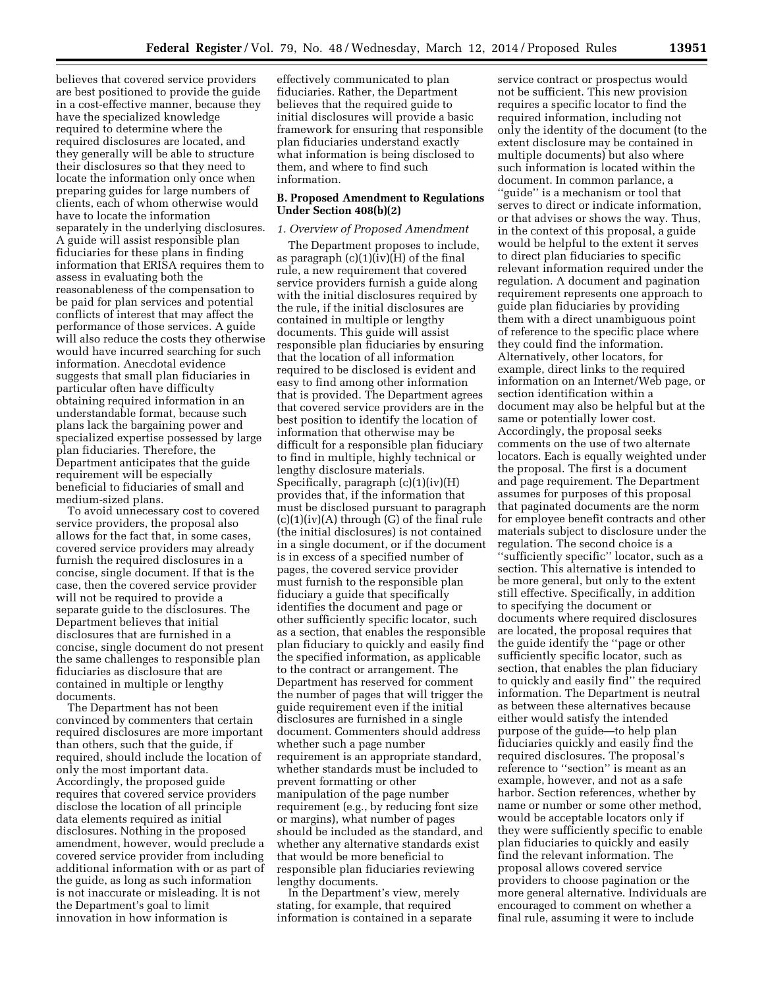believes that covered service providers are best positioned to provide the guide in a cost-effective manner, because they have the specialized knowledge required to determine where the required disclosures are located, and they generally will be able to structure their disclosures so that they need to locate the information only once when preparing guides for large numbers of clients, each of whom otherwise would have to locate the information separately in the underlying disclosures. A guide will assist responsible plan fiduciaries for these plans in finding information that ERISA requires them to assess in evaluating both the reasonableness of the compensation to be paid for plan services and potential conflicts of interest that may affect the performance of those services. A guide will also reduce the costs they otherwise would have incurred searching for such information. Anecdotal evidence suggests that small plan fiduciaries in particular often have difficulty obtaining required information in an understandable format, because such plans lack the bargaining power and specialized expertise possessed by large plan fiduciaries. Therefore, the Department anticipates that the guide requirement will be especially beneficial to fiduciaries of small and medium-sized plans.

To avoid unnecessary cost to covered service providers, the proposal also allows for the fact that, in some cases, covered service providers may already furnish the required disclosures in a concise, single document. If that is the case, then the covered service provider will not be required to provide a separate guide to the disclosures. The Department believes that initial disclosures that are furnished in a concise, single document do not present the same challenges to responsible plan fiduciaries as disclosure that are contained in multiple or lengthy documents.

The Department has not been convinced by commenters that certain required disclosures are more important than others, such that the guide, if required, should include the location of only the most important data. Accordingly, the proposed guide requires that covered service providers disclose the location of all principle data elements required as initial disclosures. Nothing in the proposed amendment, however, would preclude a covered service provider from including additional information with or as part of the guide, as long as such information is not inaccurate or misleading. It is not the Department's goal to limit innovation in how information is

effectively communicated to plan fiduciaries. Rather, the Department believes that the required guide to initial disclosures will provide a basic framework for ensuring that responsible plan fiduciaries understand exactly what information is being disclosed to them, and where to find such information.

# **B. Proposed Amendment to Regulations Under Section 408(b)(2)**

# *1. Overview of Proposed Amendment*

The Department proposes to include, as paragraph  $(c)(1)(iv)(H)$  of the final rule, a new requirement that covered service providers furnish a guide along with the initial disclosures required by the rule, if the initial disclosures are contained in multiple or lengthy documents. This guide will assist responsible plan fiduciaries by ensuring that the location of all information required to be disclosed is evident and easy to find among other information that is provided. The Department agrees that covered service providers are in the best position to identify the location of information that otherwise may be difficult for a responsible plan fiduciary to find in multiple, highly technical or lengthy disclosure materials. Specifically, paragraph (c)(1)(iv)(H) provides that, if the information that must be disclosed pursuant to paragraph (c)(1)(iv)(A) through (G) of the final rule (the initial disclosures) is not contained in a single document, or if the document is in excess of a specified number of pages, the covered service provider must furnish to the responsible plan fiduciary a guide that specifically identifies the document and page or other sufficiently specific locator, such as a section, that enables the responsible plan fiduciary to quickly and easily find the specified information, as applicable to the contract or arrangement. The Department has reserved for comment the number of pages that will trigger the guide requirement even if the initial disclosures are furnished in a single document. Commenters should address whether such a page number requirement is an appropriate standard, whether standards must be included to prevent formatting or other manipulation of the page number requirement (e.g., by reducing font size or margins), what number of pages should be included as the standard, and whether any alternative standards exist that would be more beneficial to responsible plan fiduciaries reviewing lengthy documents.

In the Department's view, merely stating, for example, that required information is contained in a separate

service contract or prospectus would not be sufficient. This new provision requires a specific locator to find the required information, including not only the identity of the document (to the extent disclosure may be contained in multiple documents) but also where such information is located within the document. In common parlance, a ''guide'' is a mechanism or tool that serves to direct or indicate information, or that advises or shows the way. Thus, in the context of this proposal, a guide would be helpful to the extent it serves to direct plan fiduciaries to specific relevant information required under the regulation. A document and pagination requirement represents one approach to guide plan fiduciaries by providing them with a direct unambiguous point of reference to the specific place where they could find the information. Alternatively, other locators, for example, direct links to the required information on an Internet/Web page, or section identification within a document may also be helpful but at the same or potentially lower cost. Accordingly, the proposal seeks comments on the use of two alternate locators. Each is equally weighted under the proposal. The first is a document and page requirement. The Department assumes for purposes of this proposal that paginated documents are the norm for employee benefit contracts and other materials subject to disclosure under the regulation. The second choice is a ''sufficiently specific'' locator, such as a section. This alternative is intended to be more general, but only to the extent still effective. Specifically, in addition to specifying the document or documents where required disclosures are located, the proposal requires that the guide identify the ''page or other sufficiently specific locator, such as section, that enables the plan fiduciary to quickly and easily find'' the required information. The Department is neutral as between these alternatives because either would satisfy the intended purpose of the guide—to help plan fiduciaries quickly and easily find the required disclosures. The proposal's reference to ''section'' is meant as an example, however, and not as a safe harbor. Section references, whether by name or number or some other method, would be acceptable locators only if they were sufficiently specific to enable plan fiduciaries to quickly and easily find the relevant information. The proposal allows covered service providers to choose pagination or the more general alternative. Individuals are encouraged to comment on whether a final rule, assuming it were to include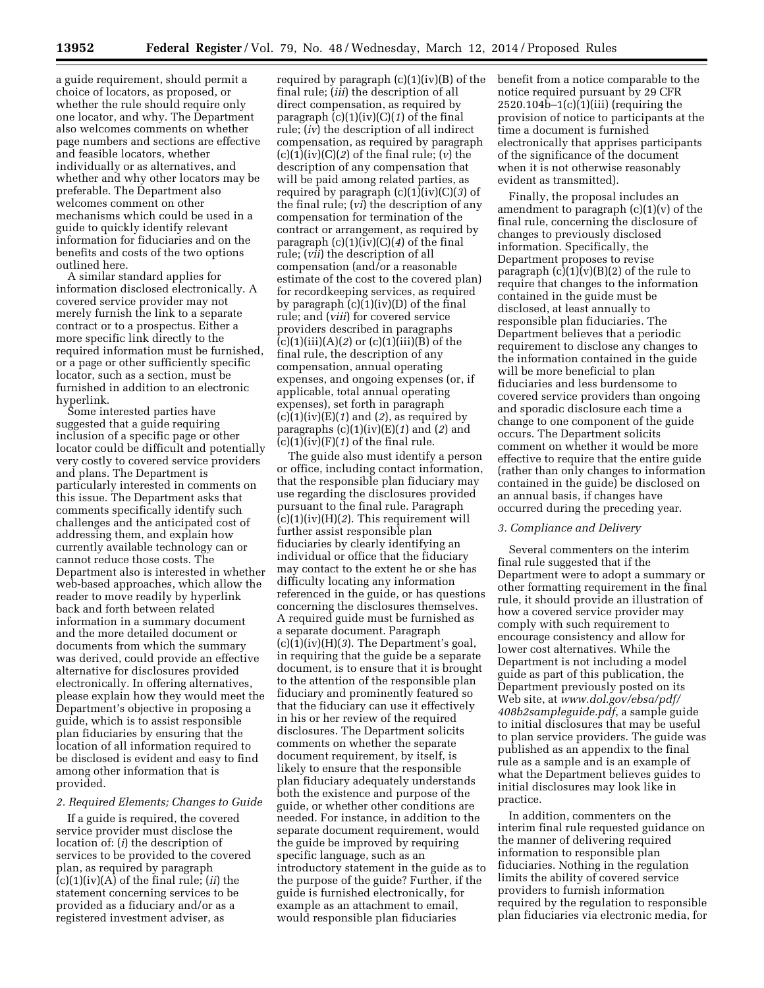a guide requirement, should permit a choice of locators, as proposed, or whether the rule should require only one locator, and why. The Department also welcomes comments on whether page numbers and sections are effective and feasible locators, whether individually or as alternatives, and whether and why other locators may be preferable. The Department also welcomes comment on other mechanisms which could be used in a guide to quickly identify relevant information for fiduciaries and on the benefits and costs of the two options outlined here.

A similar standard applies for information disclosed electronically. A covered service provider may not merely furnish the link to a separate contract or to a prospectus. Either a more specific link directly to the required information must be furnished, or a page or other sufficiently specific locator, such as a section, must be furnished in addition to an electronic hyperlink.

Some interested parties have suggested that a guide requiring inclusion of a specific page or other locator could be difficult and potentially very costly to covered service providers and plans. The Department is particularly interested in comments on this issue. The Department asks that comments specifically identify such challenges and the anticipated cost of addressing them, and explain how currently available technology can or cannot reduce those costs. The Department also is interested in whether web-based approaches, which allow the reader to move readily by hyperlink back and forth between related information in a summary document and the more detailed document or documents from which the summary was derived, could provide an effective alternative for disclosures provided electronically. In offering alternatives, please explain how they would meet the Department's objective in proposing a guide, which is to assist responsible plan fiduciaries by ensuring that the location of all information required to be disclosed is evident and easy to find among other information that is provided.

# *2. Required Elements; Changes to Guide*

If a guide is required, the covered service provider must disclose the location of: (*i*) the description of services to be provided to the covered plan, as required by paragraph (c)(1)(iv)(A) of the final rule; (*ii*) the statement concerning services to be provided as a fiduciary and/or as a registered investment adviser, as

required by paragraph (c)(1)(iv)(B) of the final rule; (*iii*) the description of all direct compensation, as required by paragraph (c)(1)(iv)(C)(*1*) of the final rule; (*iv*) the description of all indirect compensation, as required by paragraph (c)(1)(iv)(C)(*2*) of the final rule; (*v*) the description of any compensation that will be paid among related parties, as required by paragraph (c)(1)(iv)(C)(*3*) of the final rule; (*vi*) the description of any compensation for termination of the contract or arrangement, as required by paragraph (c)(1)(iv)(C)(*4*) of the final rule; (*vii*) the description of all compensation (and/or a reasonable estimate of the cost to the covered plan) for recordkeeping services, as required by paragraph (c)(1)(iv)(D) of the final rule; and (*viii*) for covered service providers described in paragraphs (c)(1)(iii)(A)(*2*) or (c)(1)(iii)(B) of the final rule, the description of any compensation, annual operating expenses, and ongoing expenses (or, if applicable, total annual operating expenses), set forth in paragraph (c)(1)(iv)(E)(*1*) and (*2*), as required by paragraphs (c)(1)(iv)(E)(*1*) and (*2*) and  $(c)(1)(iv)(F)(1)$  of the final rule.

The guide also must identify a person or office, including contact information, that the responsible plan fiduciary may use regarding the disclosures provided pursuant to the final rule. Paragraph (c)(1)(iv)(H)(*2*). This requirement will further assist responsible plan fiduciaries by clearly identifying an individual or office that the fiduciary may contact to the extent he or she has difficulty locating any information referenced in the guide, or has questions concerning the disclosures themselves. A required guide must be furnished as a separate document. Paragraph (c)(1)(iv)(H)(*3*). The Department's goal, in requiring that the guide be a separate document, is to ensure that it is brought to the attention of the responsible plan fiduciary and prominently featured so that the fiduciary can use it effectively in his or her review of the required disclosures. The Department solicits comments on whether the separate document requirement, by itself, is likely to ensure that the responsible plan fiduciary adequately understands both the existence and purpose of the guide, or whether other conditions are needed. For instance, in addition to the separate document requirement, would the guide be improved by requiring specific language, such as an introductory statement in the guide as to the purpose of the guide? Further, if the guide is furnished electronically, for example as an attachment to email, would responsible plan fiduciaries

benefit from a notice comparable to the notice required pursuant by 29 CFR  $2520.104<sub>b-1</sub>(c)(1)(iii)$  (requiring the provision of notice to participants at the time a document is furnished electronically that apprises participants of the significance of the document when it is not otherwise reasonably evident as transmitted).

Finally, the proposal includes an amendment to paragraph (c)(1)(v) of the final rule, concerning the disclosure of changes to previously disclosed information. Specifically, the Department proposes to revise paragraph  $(c)(1)(v)(B)(2)$  of the rule to require that changes to the information contained in the guide must be disclosed, at least annually to responsible plan fiduciaries. The Department believes that a periodic requirement to disclose any changes to the information contained in the guide will be more beneficial to plan fiduciaries and less burdensome to covered service providers than ongoing and sporadic disclosure each time a change to one component of the guide occurs. The Department solicits comment on whether it would be more effective to require that the entire guide (rather than only changes to information contained in the guide) be disclosed on an annual basis, if changes have occurred during the preceding year.

# *3. Compliance and Delivery*

Several commenters on the interim final rule suggested that if the Department were to adopt a summary or other formatting requirement in the final rule, it should provide an illustration of how a covered service provider may comply with such requirement to encourage consistency and allow for lower cost alternatives. While the Department is not including a model guide as part of this publication, the Department previously posted on its Web site, at *[www.dol.gov/ebsa/pdf/](http://www.dol.gov/ebsa/pdf/408b2sampleguide.pdf) [408b2sampleguide.pdf](http://www.dol.gov/ebsa/pdf/408b2sampleguide.pdf)*, a sample guide to initial disclosures that may be useful to plan service providers. The guide was published as an appendix to the final rule as a sample and is an example of what the Department believes guides to initial disclosures may look like in practice.

In addition, commenters on the interim final rule requested guidance on the manner of delivering required information to responsible plan fiduciaries. Nothing in the regulation limits the ability of covered service providers to furnish information required by the regulation to responsible plan fiduciaries via electronic media, for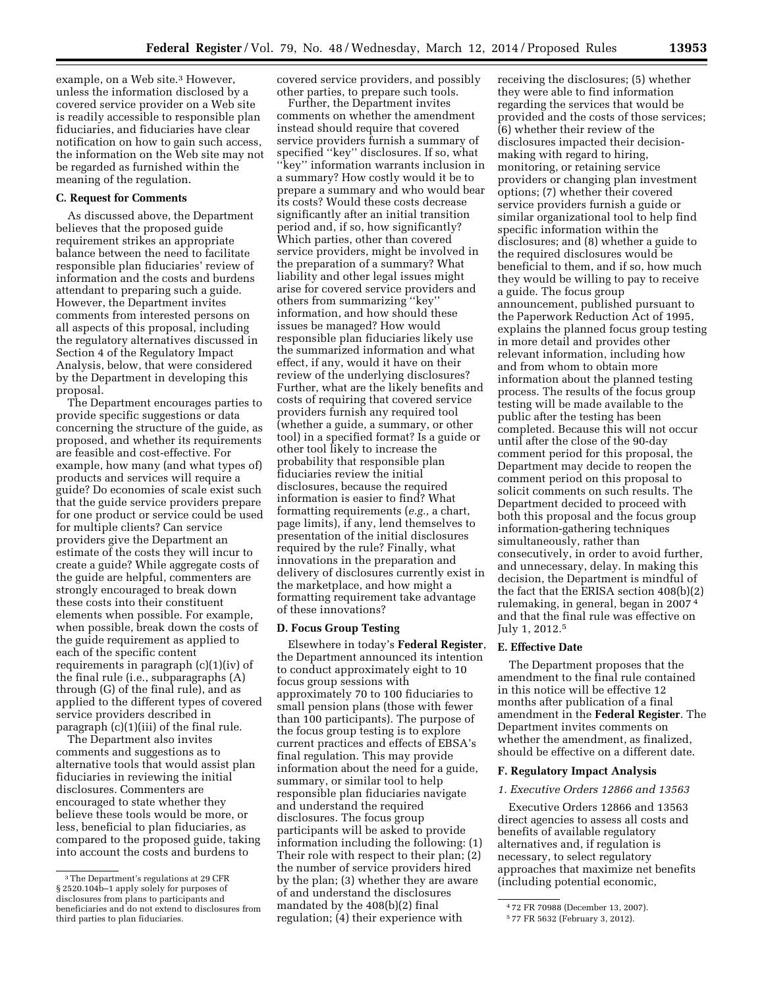example, on a Web site.<sup>3</sup> However, unless the information disclosed by a covered service provider on a Web site is readily accessible to responsible plan fiduciaries, and fiduciaries have clear notification on how to gain such access, the information on the Web site may not be regarded as furnished within the meaning of the regulation.

# **C. Request for Comments**

As discussed above, the Department believes that the proposed guide requirement strikes an appropriate balance between the need to facilitate responsible plan fiduciaries' review of information and the costs and burdens attendant to preparing such a guide. However, the Department invites comments from interested persons on all aspects of this proposal, including the regulatory alternatives discussed in Section 4 of the Regulatory Impact Analysis, below, that were considered by the Department in developing this proposal.

The Department encourages parties to provide specific suggestions or data concerning the structure of the guide, as proposed, and whether its requirements are feasible and cost-effective. For example, how many (and what types of) products and services will require a guide? Do economies of scale exist such that the guide service providers prepare for one product or service could be used for multiple clients? Can service providers give the Department an estimate of the costs they will incur to create a guide? While aggregate costs of the guide are helpful, commenters are strongly encouraged to break down these costs into their constituent elements when possible. For example, when possible, break down the costs of the guide requirement as applied to each of the specific content requirements in paragraph (c)(1)(iv) of the final rule (i.e., subparagraphs (A) through (G) of the final rule), and as applied to the different types of covered service providers described in paragraph (c)(1)(iii) of the final rule.

The Department also invites comments and suggestions as to alternative tools that would assist plan fiduciaries in reviewing the initial disclosures. Commenters are encouraged to state whether they believe these tools would be more, or less, beneficial to plan fiduciaries, as compared to the proposed guide, taking into account the costs and burdens to

covered service providers, and possibly other parties, to prepare such tools.

Further, the Department invites comments on whether the amendment instead should require that covered service providers furnish a summary of specified ''key'' disclosures. If so, what ''key'' information warrants inclusion in a summary? How costly would it be to prepare a summary and who would bear its costs? Would these costs decrease significantly after an initial transition period and, if so, how significantly? Which parties, other than covered service providers, might be involved in the preparation of a summary? What liability and other legal issues might arise for covered service providers and others from summarizing ''key'' information, and how should these issues be managed? How would responsible plan fiduciaries likely use the summarized information and what effect, if any, would it have on their review of the underlying disclosures? Further, what are the likely benefits and costs of requiring that covered service providers furnish any required tool (whether a guide, a summary, or other tool) in a specified format? Is a guide or other tool likely to increase the probability that responsible plan fiduciaries review the initial disclosures, because the required information is easier to find? What formatting requirements (*e.g.,* a chart, page limits), if any, lend themselves to presentation of the initial disclosures required by the rule? Finally, what innovations in the preparation and delivery of disclosures currently exist in the marketplace, and how might a formatting requirement take advantage of these innovations?

# **D. Focus Group Testing**

Elsewhere in today's **Federal Register**, the Department announced its intention to conduct approximately eight to 10 focus group sessions with approximately 70 to 100 fiduciaries to small pension plans (those with fewer than 100 participants). The purpose of the focus group testing is to explore current practices and effects of EBSA's final regulation. This may provide information about the need for a guide, summary, or similar tool to help responsible plan fiduciaries navigate and understand the required disclosures. The focus group participants will be asked to provide information including the following: (1) Their role with respect to their plan; (2) the number of service providers hired by the plan; (3) whether they are aware of and understand the disclosures mandated by the 408(b)(2) final regulation; (4) their experience with

receiving the disclosures; (5) whether they were able to find information regarding the services that would be provided and the costs of those services; (6) whether their review of the disclosures impacted their decisionmaking with regard to hiring, monitoring, or retaining service providers or changing plan investment options; (7) whether their covered service providers furnish a guide or similar organizational tool to help find specific information within the disclosures; and (8) whether a guide to the required disclosures would be beneficial to them, and if so, how much they would be willing to pay to receive a guide. The focus group announcement, published pursuant to the Paperwork Reduction Act of 1995, explains the planned focus group testing in more detail and provides other relevant information, including how and from whom to obtain more information about the planned testing process. The results of the focus group testing will be made available to the public after the testing has been completed. Because this will not occur until after the close of the 90-day comment period for this proposal, the Department may decide to reopen the comment period on this proposal to solicit comments on such results. The Department decided to proceed with both this proposal and the focus group information-gathering techniques simultaneously, rather than consecutively, in order to avoid further, and unnecessary, delay. In making this decision, the Department is mindful of the fact that the ERISA section 408(b)(2) rulemaking, in general, began in 2007 4 and that the final rule was effective on July 1, 2012.5

## **E. Effective Date**

The Department proposes that the amendment to the final rule contained in this notice will be effective 12 months after publication of a final amendment in the **Federal Register**. The Department invites comments on whether the amendment, as finalized, should be effective on a different date.

## **F. Regulatory Impact Analysis**

# *1. Executive Orders 12866 and 13563*

Executive Orders 12866 and 13563 direct agencies to assess all costs and benefits of available regulatory alternatives and, if regulation is necessary, to select regulatory approaches that maximize net benefits (including potential economic,

<sup>3</sup>The Department's regulations at 29 CFR § 2520.104b–1 apply solely for purposes of disclosures from plans to participants and beneficiaries and do not extend to disclosures from third parties to plan fiduciaries.

<sup>4</sup> 72 FR 70988 (December 13, 2007).

<sup>5</sup> 77 FR 5632 (February 3, 2012).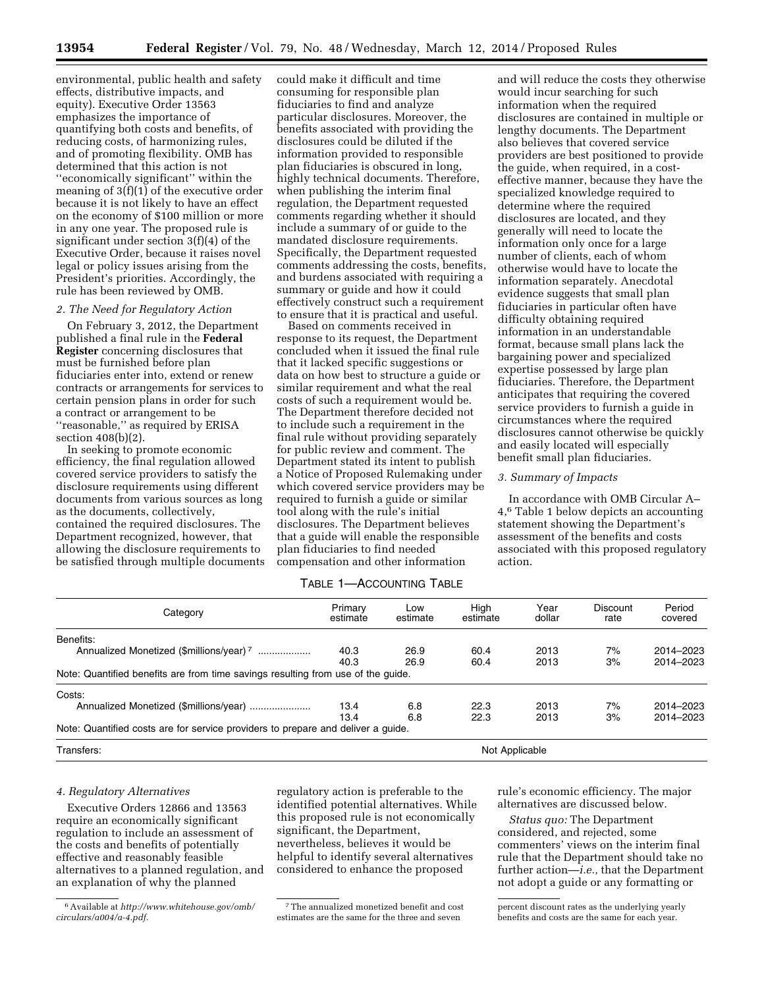environmental, public health and safety effects, distributive impacts, and equity). Executive Order 13563 emphasizes the importance of quantifying both costs and benefits, of reducing costs, of harmonizing rules, and of promoting flexibility. OMB has determined that this action is not ''economically significant'' within the meaning of  $3(f)(1)$  of the executive order because it is not likely to have an effect on the economy of \$100 million or more in any one year. The proposed rule is significant under section 3(f)(4) of the Executive Order, because it raises novel legal or policy issues arising from the President's priorities. Accordingly, the rule has been reviewed by OMB.

# *2. The Need for Regulatory Action*

On February 3, 2012, the Department published a final rule in the **Federal Register** concerning disclosures that must be furnished before plan fiduciaries enter into, extend or renew contracts or arrangements for services to certain pension plans in order for such a contract or arrangement to be "reasonable," as required by ERISA section 408(b)(2).

In seeking to promote economic efficiency, the final regulation allowed covered service providers to satisfy the disclosure requirements using different documents from various sources as long as the documents, collectively, contained the required disclosures. The Department recognized, however, that allowing the disclosure requirements to be satisfied through multiple documents

could make it difficult and time consuming for responsible plan fiduciaries to find and analyze particular disclosures. Moreover, the benefits associated with providing the disclosures could be diluted if the information provided to responsible plan fiduciaries is obscured in long, highly technical documents. Therefore, when publishing the interim final regulation, the Department requested comments regarding whether it should include a summary of or guide to the mandated disclosure requirements. Specifically, the Department requested comments addressing the costs, benefits, and burdens associated with requiring a summary or guide and how it could effectively construct such a requirement to ensure that it is practical and useful.

Based on comments received in response to its request, the Department concluded when it issued the final rule that it lacked specific suggestions or data on how best to structure a guide or similar requirement and what the real costs of such a requirement would be. The Department therefore decided not to include such a requirement in the final rule without providing separately for public review and comment. The Department stated its intent to publish a Notice of Proposed Rulemaking under which covered service providers may be required to furnish a guide or similar tool along with the rule's initial disclosures. The Department believes that a guide will enable the responsible plan fiduciaries to find needed compensation and other information

and will reduce the costs they otherwise would incur searching for such information when the required disclosures are contained in multiple or lengthy documents. The Department also believes that covered service providers are best positioned to provide the guide, when required, in a costeffective manner, because they have the specialized knowledge required to determine where the required disclosures are located, and they generally will need to locate the information only once for a large number of clients, each of whom otherwise would have to locate the information separately. Anecdotal evidence suggests that small plan fiduciaries in particular often have difficulty obtaining required information in an understandable format, because small plans lack the bargaining power and specialized expertise possessed by large plan fiduciaries. Therefore, the Department anticipates that requiring the covered service providers to furnish a guide in circumstances where the required disclosures cannot otherwise be quickly and easily located will especially benefit small plan fiduciaries.

# *3. Summary of Impacts*

In accordance with OMB Circular A– 4,6 Table 1 below depicts an accounting statement showing the Department's assessment of the benefits and costs associated with this proposed regulatory action.

# TABLE 1—ACCOUNTING TABLE

| Category                                                                         | Primary<br>estimate | Low<br>estimate | High<br>estimate | Year<br>dollar | Discount<br>rate | Period<br>covered |
|----------------------------------------------------------------------------------|---------------------|-----------------|------------------|----------------|------------------|-------------------|
| Benefits:                                                                        |                     |                 |                  |                |                  |                   |
| Annualized Monetized (\$millions/year) <sup>7</sup>                              | 40.3                | 26.9            | 60.4             | 2013           | 7%               | 2014-2023         |
|                                                                                  | 40.3                | 26.9            | 60.4             | 2013           | 3%               | 2014-2023         |
| Note: Quantified benefits are from time savings resulting from use of the guide. |                     |                 |                  |                |                  |                   |
| Costs:                                                                           |                     |                 |                  |                |                  |                   |
| Annualized Monetized (\$millions/year)                                           | 13.4                | 6.8             | 22.3             | 2013           | 7%               | 2014-2023         |
|                                                                                  | 13.4                | 6.8             | 22.3             | 2013           | 3%               | 2014-2023         |
| Note: Quantified costs are for service providers to prepare and deliver a quide. |                     |                 |                  |                |                  |                   |
| Transfers:                                                                       | Not Applicable      |                 |                  |                |                  |                   |

# *4. Regulatory Alternatives*

Executive Orders 12866 and 13563 require an economically significant regulation to include an assessment of the costs and benefits of potentially effective and reasonably feasible alternatives to a planned regulation, and an explanation of why the planned

regulatory action is preferable to the identified potential alternatives. While this proposed rule is not economically significant, the Department, nevertheless, believes it would be helpful to identify several alternatives considered to enhance the proposed

7The annualized monetized benefit and cost estimates are the same for the three and seven

rule's economic efficiency. The major alternatives are discussed below.

*Status quo:* The Department considered, and rejected, some commenters' views on the interim final rule that the Department should take no further action—*i.e.,* that the Department not adopt a guide or any formatting or

<sup>6</sup>Available at *[http://www.whitehouse.gov/omb/](http://www.whitehouse.gov/omb/circulars/a004/a-4.pdf) [circulars/a004/a-4.pdf.](http://www.whitehouse.gov/omb/circulars/a004/a-4.pdf)* 

percent discount rates as the underlying yearly benefits and costs are the same for each year.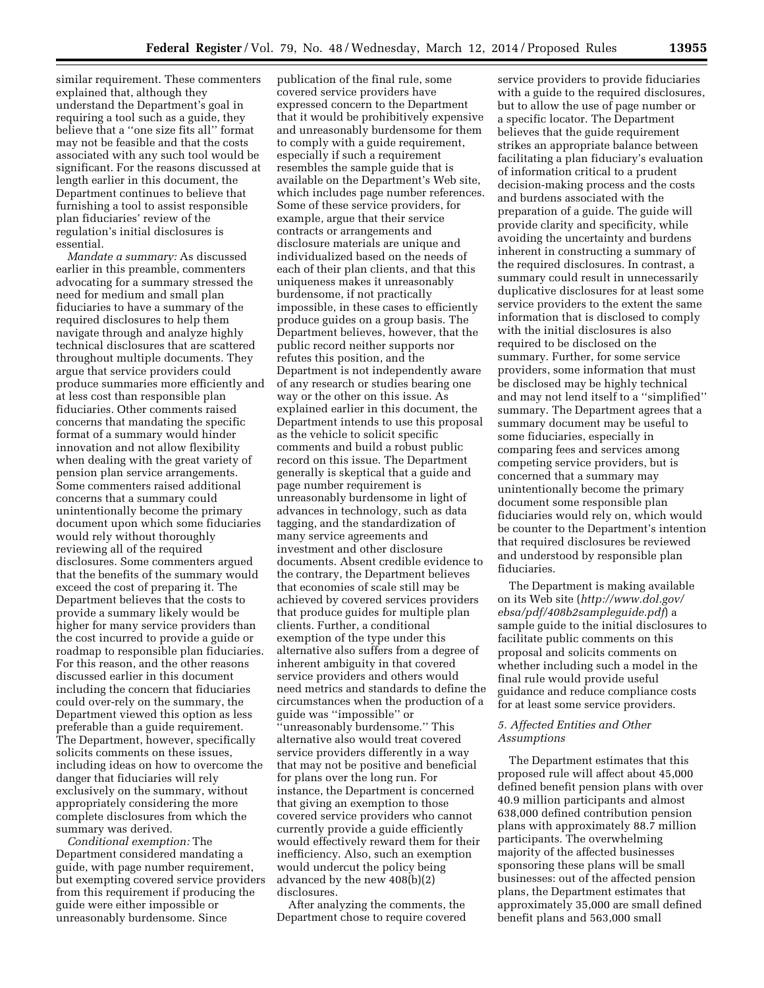similar requirement. These commenters explained that, although they understand the Department's goal in requiring a tool such as a guide, they believe that a ''one size fits all'' format may not be feasible and that the costs associated with any such tool would be significant. For the reasons discussed at length earlier in this document, the Department continues to believe that furnishing a tool to assist responsible plan fiduciaries' review of the regulation's initial disclosures is essential.

*Mandate a summary:* As discussed earlier in this preamble, commenters advocating for a summary stressed the need for medium and small plan fiduciaries to have a summary of the required disclosures to help them navigate through and analyze highly technical disclosures that are scattered throughout multiple documents. They argue that service providers could produce summaries more efficiently and at less cost than responsible plan fiduciaries. Other comments raised concerns that mandating the specific format of a summary would hinder innovation and not allow flexibility when dealing with the great variety of pension plan service arrangements. Some commenters raised additional concerns that a summary could unintentionally become the primary document upon which some fiduciaries would rely without thoroughly reviewing all of the required disclosures. Some commenters argued that the benefits of the summary would exceed the cost of preparing it. The Department believes that the costs to provide a summary likely would be higher for many service providers than the cost incurred to provide a guide or roadmap to responsible plan fiduciaries. For this reason, and the other reasons discussed earlier in this document including the concern that fiduciaries could over-rely on the summary, the Department viewed this option as less preferable than a guide requirement. The Department, however, specifically solicits comments on these issues, including ideas on how to overcome the danger that fiduciaries will rely exclusively on the summary, without appropriately considering the more complete disclosures from which the summary was derived.

*Conditional exemption:* The Department considered mandating a guide, with page number requirement, but exempting covered service providers from this requirement if producing the guide were either impossible or unreasonably burdensome. Since

publication of the final rule, some covered service providers have expressed concern to the Department that it would be prohibitively expensive and unreasonably burdensome for them to comply with a guide requirement, especially if such a requirement resembles the sample guide that is available on the Department's Web site, which includes page number references. Some of these service providers, for example, argue that their service contracts or arrangements and disclosure materials are unique and individualized based on the needs of each of their plan clients, and that this uniqueness makes it unreasonably burdensome, if not practically impossible, in these cases to efficiently produce guides on a group basis. The Department believes, however, that the public record neither supports nor refutes this position, and the Department is not independently aware of any research or studies bearing one way or the other on this issue. As explained earlier in this document, the Department intends to use this proposal as the vehicle to solicit specific comments and build a robust public record on this issue. The Department generally is skeptical that a guide and page number requirement is unreasonably burdensome in light of advances in technology, such as data tagging, and the standardization of many service agreements and investment and other disclosure documents. Absent credible evidence to the contrary, the Department believes that economies of scale still may be achieved by covered services providers that produce guides for multiple plan clients. Further, a conditional exemption of the type under this alternative also suffers from a degree of inherent ambiguity in that covered service providers and others would need metrics and standards to define the circumstances when the production of a guide was ''impossible'' or ''unreasonably burdensome.'' This alternative also would treat covered service providers differently in a way that may not be positive and beneficial for plans over the long run. For instance, the Department is concerned that giving an exemption to those covered service providers who cannot currently provide a guide efficiently would effectively reward them for their inefficiency. Also, such an exemption would undercut the policy being advanced by the new 408(b)(2) disclosures.

After analyzing the comments, the Department chose to require covered service providers to provide fiduciaries with a guide to the required disclosures, but to allow the use of page number or a specific locator. The Department believes that the guide requirement strikes an appropriate balance between facilitating a plan fiduciary's evaluation of information critical to a prudent decision-making process and the costs and burdens associated with the preparation of a guide. The guide will provide clarity and specificity, while avoiding the uncertainty and burdens inherent in constructing a summary of the required disclosures. In contrast, a summary could result in unnecessarily duplicative disclosures for at least some service providers to the extent the same information that is disclosed to comply with the initial disclosures is also required to be disclosed on the summary. Further, for some service providers, some information that must be disclosed may be highly technical and may not lend itself to a ''simplified'' summary. The Department agrees that a summary document may be useful to some fiduciaries, especially in comparing fees and services among competing service providers, but is concerned that a summary may unintentionally become the primary document some responsible plan fiduciaries would rely on, which would be counter to the Department's intention that required disclosures be reviewed and understood by responsible plan fiduciaries.

The Department is making available on its Web site (*[http://www.dol.gov/](http://www.dol.gov/ebsa/pdf/408b2sampleguide.pdf) [ebsa/pdf/408b2sampleguide.pdf](http://www.dol.gov/ebsa/pdf/408b2sampleguide.pdf)*) a sample guide to the initial disclosures to facilitate public comments on this proposal and solicits comments on whether including such a model in the final rule would provide useful guidance and reduce compliance costs for at least some service providers.

# *5. Affected Entities and Other Assumptions*

The Department estimates that this proposed rule will affect about 45,000 defined benefit pension plans with over 40.9 million participants and almost 638,000 defined contribution pension plans with approximately 88.7 million participants. The overwhelming majority of the affected businesses sponsoring these plans will be small businesses: out of the affected pension plans, the Department estimates that approximately 35,000 are small defined benefit plans and 563,000 small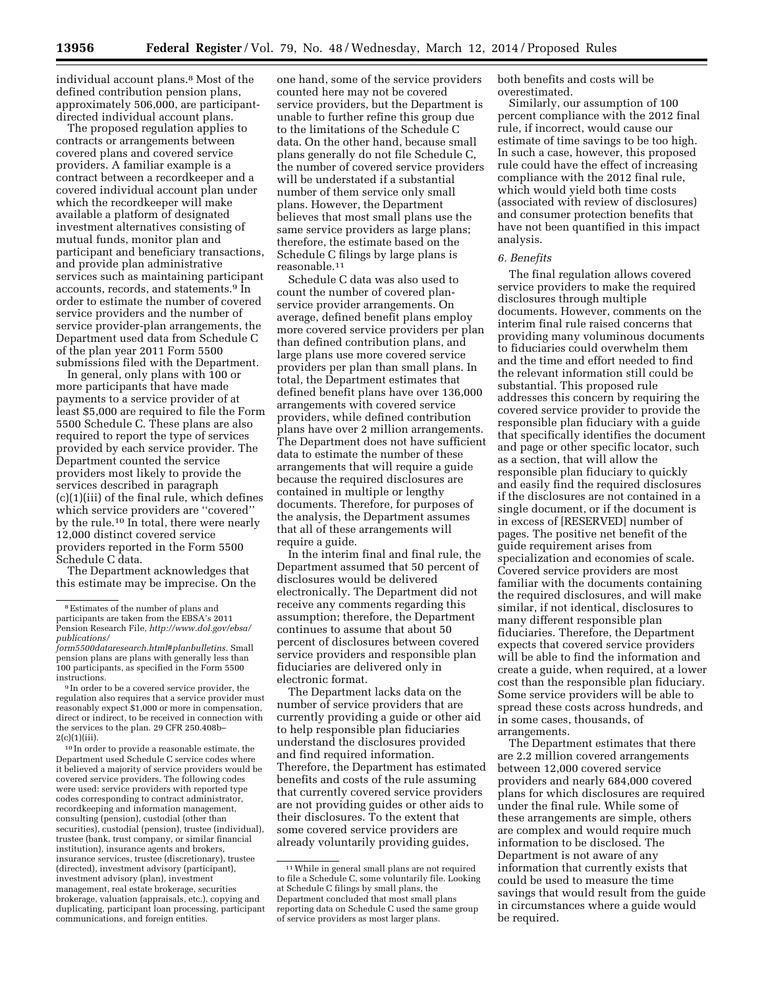individual account plans.8 Most of the defined contribution pension plans, approximately 506,000, are participantdirected individual account plans.

The proposed regulation applies to contracts or arrangements between covered plans and covered service providers. A familiar example is a contract between a recordkeeper and a covered individual account plan under which the recordkeeper will make available a platform of designated investment alternatives consisting of mutual funds, monitor plan and participant and beneficiary transactions, and provide plan administrative services such as maintaining participant accounts, records, and statements.9 In order to estimate the number of covered service providers and the number of service provider-plan arrangements, the Department used data from Schedule C of the plan year 2011 Form 5500 submissions filed with the Department.

In general, only plans with 100 or more participants that have made payments to a service provider of at least \$5,000 are required to file the Form 5500 Schedule C. These plans are also required to report the type of services provided by each service provider. The Department counted the service providers most likely to provide the services described in paragraph (c)(1)(iii) of the final rule, which defines which service providers are ''covered'' by the rule.10 In total, there were nearly 12,000 distinct covered service providers reported in the Form 5500 Schedule C data.

The Department acknowledges that this estimate may be imprecise. On the

9 In order to be a covered service provider, the regulation also requires that a service provider must reasonably expect \$1,000 or more in compensation, direct or indirect, to be received in connection with the services to the plan. 29 CFR 250.408b–  $2(c)(1)(iii)$ .

10 In order to provide a reasonable estimate, the Department used Schedule C service codes where it believed a majority of service providers would be covered service providers. The following codes were used: service providers with reported type codes corresponding to contract administrator, recordkeeping and information management, consulting (pension), custodial (other than securities), custodial (pension), trustee (individual), trustee (bank, trust company, or similar financial institution), insurance agents and brokers, insurance services, trustee (discretionary), trustee (directed), investment advisory (participant), investment advisory (plan), investment management, real estate brokerage, securities brokerage, valuation (appraisals, etc.), copying and duplicating, participant loan processing, participant communications, and foreign entities.

one hand, some of the service providers counted here may not be covered service providers, but the Department is unable to further refine this group due to the limitations of the Schedule C data. On the other hand, because small plans generally do not file Schedule C, the number of covered service providers will be understated if a substantial number of them service only small plans. However, the Department believes that most small plans use the same service providers as large plans; therefore, the estimate based on the Schedule C filings by large plans is reasonable.11

Schedule C data was also used to count the number of covered planservice provider arrangements. On average, defined benefit plans employ more covered service providers per plan than defined contribution plans, and large plans use more covered service providers per plan than small plans. In total, the Department estimates that defined benefit plans have over 136,000 arrangements with covered service providers, while defined contribution plans have over 2 million arrangements. The Department does not have sufficient data to estimate the number of these arrangements that will require a guide because the required disclosures are contained in multiple or lengthy documents. Therefore, for purposes of the analysis, the Department assumes that all of these arrangements will require a guide.

In the interim final and final rule, the Department assumed that 50 percent of disclosures would be delivered electronically. The Department did not receive any comments regarding this assumption; therefore, the Department continues to assume that about 50 percent of disclosures between covered service providers and responsible plan fiduciaries are delivered only in electronic format.

The Department lacks data on the number of service providers that are currently providing a guide or other aid to help responsible plan fiduciaries understand the disclosures provided and find required information. Therefore, the Department has estimated benefits and costs of the rule assuming that currently covered service providers are not providing guides or other aids to their disclosures. To the extent that some covered service providers are already voluntarily providing guides,

both benefits and costs will be overestimated.

Similarly, our assumption of 100 percent compliance with the 2012 final rule, if incorrect, would cause our estimate of time savings to be too high. In such a case, however, this proposed rule could have the effect of increasing compliance with the 2012 final rule, which would yield both time costs (associated with review of disclosures) and consumer protection benefits that have not been quantified in this impact analysis.

# *6. Benefits*

The final regulation allows covered service providers to make the required disclosures through multiple documents. However, comments on the interim final rule raised concerns that providing many voluminous documents to fiduciaries could overwhelm them and the time and effort needed to find the relevant information still could be substantial. This proposed rule addresses this concern by requiring the covered service provider to provide the responsible plan fiduciary with a guide that specifically identifies the document and page or other specific locator, such as a section, that will allow the responsible plan fiduciary to quickly and easily find the required disclosures if the disclosures are not contained in a single document, or if the document is in excess of [RESERVED] number of pages. The positive net benefit of the guide requirement arises from specialization and economies of scale. Covered service providers are most familiar with the documents containing the required disclosures, and will make similar, if not identical, disclosures to many different responsible plan fiduciaries. Therefore, the Department expects that covered service providers will be able to find the information and create a guide, when required, at a lower cost than the responsible plan fiduciary. Some service providers will be able to spread these costs across hundreds, and in some cases, thousands, of arrangements.

The Department estimates that there are 2.2 million covered arrangements between 12,000 covered service providers and nearly 684,000 covered plans for which disclosures are required under the final rule. While some of these arrangements are simple, others are complex and would require much information to be disclosed. The Department is not aware of any information that currently exists that could be used to measure the time savings that would result from the guide in circumstances where a guide would be required.

<sup>8</sup>Estimates of the number of plans and participants are taken from the EBSA's 2011 Pension Research File, *[http://www.dol.gov/ebsa/](http://www.dol.gov/ebsa/publications/form5500dataresearch.html#planbulletins) [publications/](http://www.dol.gov/ebsa/publications/form5500dataresearch.html#planbulletins)*

*[form5500dataresearch.html#planbulletins.](http://www.dol.gov/ebsa/publications/form5500dataresearch.html#planbulletins)* Small pension plans are plans with generally less than 100 participants, as specified in the Form 5500 instructions.

<sup>11</sup>While in general small plans are not required to file a Schedule C, some voluntarily file. Looking at Schedule C filings by small plans, the Department concluded that most small plans reporting data on Schedule C used the same group of service providers as most larger plans.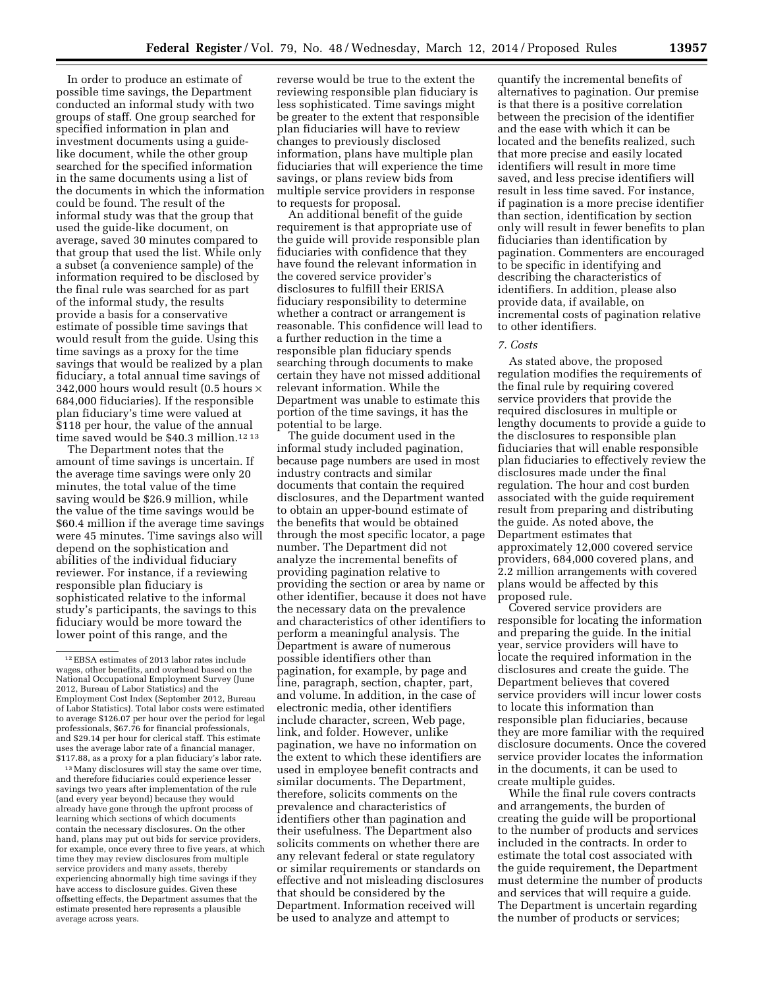In order to produce an estimate of possible time savings, the Department conducted an informal study with two groups of staff. One group searched for specified information in plan and investment documents using a guidelike document, while the other group searched for the specified information in the same documents using a list of the documents in which the information could be found. The result of the informal study was that the group that used the guide-like document, on average, saved 30 minutes compared to that group that used the list. While only a subset (a convenience sample) of the information required to be disclosed by the final rule was searched for as part of the informal study, the results provide a basis for a conservative estimate of possible time savings that would result from the guide. Using this time savings as a proxy for the time savings that would be realized by a plan fiduciary, a total annual time savings of 342,000 hours would result (0.5 hours  $\times$ 684,000 fiduciaries). If the responsible plan fiduciary's time were valued at \$118 per hour, the value of the annual time saved would be \$40.3 million.<sup>12 13</sup>

The Department notes that the amount of time savings is uncertain. If the average time savings were only 20 minutes, the total value of the time saving would be \$26.9 million, while the value of the time savings would be \$60.4 million if the average time savings were 45 minutes. Time savings also will depend on the sophistication and abilities of the individual fiduciary reviewer. For instance, if a reviewing responsible plan fiduciary is sophisticated relative to the informal study's participants, the savings to this fiduciary would be more toward the lower point of this range, and the

13Many disclosures will stay the same over time, and therefore fiduciaries could experience lesser savings two years after implementation of the rule (and every year beyond) because they would already have gone through the upfront process of learning which sections of which documents contain the necessary disclosures. On the other hand, plans may put out bids for service providers, for example, once every three to five years, at which time they may review disclosures from multiple service providers and many assets, thereby experiencing abnormally high time savings if they have access to disclosure guides. Given these offsetting effects, the Department assumes that the estimate presented here represents a plausible average across years.

reverse would be true to the extent the reviewing responsible plan fiduciary is less sophisticated. Time savings might be greater to the extent that responsible plan fiduciaries will have to review changes to previously disclosed information, plans have multiple plan fiduciaries that will experience the time savings, or plans review bids from multiple service providers in response to requests for proposal.

An additional benefit of the guide requirement is that appropriate use of the guide will provide responsible plan fiduciaries with confidence that they have found the relevant information in the covered service provider's disclosures to fulfill their ERISA fiduciary responsibility to determine whether a contract or arrangement is reasonable. This confidence will lead to a further reduction in the time a responsible plan fiduciary spends searching through documents to make certain they have not missed additional relevant information. While the Department was unable to estimate this portion of the time savings, it has the potential to be large.

The guide document used in the informal study included pagination, because page numbers are used in most industry contracts and similar documents that contain the required disclosures, and the Department wanted to obtain an upper-bound estimate of the benefits that would be obtained through the most specific locator, a page number. The Department did not analyze the incremental benefits of providing pagination relative to providing the section or area by name or other identifier, because it does not have the necessary data on the prevalence and characteristics of other identifiers to perform a meaningful analysis. The Department is aware of numerous possible identifiers other than pagination, for example, by page and line, paragraph, section, chapter, part, and volume. In addition, in the case of electronic media, other identifiers include character, screen, Web page, link, and folder. However, unlike pagination, we have no information on the extent to which these identifiers are used in employee benefit contracts and similar documents. The Department, therefore, solicits comments on the prevalence and characteristics of identifiers other than pagination and their usefulness. The Department also solicits comments on whether there are any relevant federal or state regulatory or similar requirements or standards on effective and not misleading disclosures that should be considered by the Department. Information received will be used to analyze and attempt to

quantify the incremental benefits of alternatives to pagination. Our premise is that there is a positive correlation between the precision of the identifier and the ease with which it can be located and the benefits realized, such that more precise and easily located identifiers will result in more time saved, and less precise identifiers will result in less time saved. For instance, if pagination is a more precise identifier than section, identification by section only will result in fewer benefits to plan fiduciaries than identification by pagination. Commenters are encouraged to be specific in identifying and describing the characteristics of identifiers. In addition, please also provide data, if available, on incremental costs of pagination relative to other identifiers.

## *7. Costs*

As stated above, the proposed regulation modifies the requirements of the final rule by requiring covered service providers that provide the required disclosures in multiple or lengthy documents to provide a guide to the disclosures to responsible plan fiduciaries that will enable responsible plan fiduciaries to effectively review the disclosures made under the final regulation. The hour and cost burden associated with the guide requirement result from preparing and distributing the guide. As noted above, the Department estimates that approximately 12,000 covered service providers, 684,000 covered plans, and 2.2 million arrangements with covered plans would be affected by this proposed rule.

Covered service providers are responsible for locating the information and preparing the guide. In the initial year, service providers will have to locate the required information in the disclosures and create the guide. The Department believes that covered service providers will incur lower costs to locate this information than responsible plan fiduciaries, because they are more familiar with the required disclosure documents. Once the covered service provider locates the information in the documents, it can be used to create multiple guides.

While the final rule covers contracts and arrangements, the burden of creating the guide will be proportional to the number of products and services included in the contracts. In order to estimate the total cost associated with the guide requirement, the Department must determine the number of products and services that will require a guide. The Department is uncertain regarding the number of products or services;

<sup>12</sup>EBSA estimates of 2013 labor rates include wages, other benefits, and overhead based on the National Occupational Employment Survey (June 2012, Bureau of Labor Statistics) and the Employment Cost Index (September 2012, Bureau of Labor Statistics). Total labor costs were estimated to average \$126.07 per hour over the period for legal professionals, \$67.76 for financial professionals, and \$29.14 per hour for clerical staff. This estimate uses the average labor rate of a financial manager, \$117.88, as a proxy for a plan fiduciary's labor rate.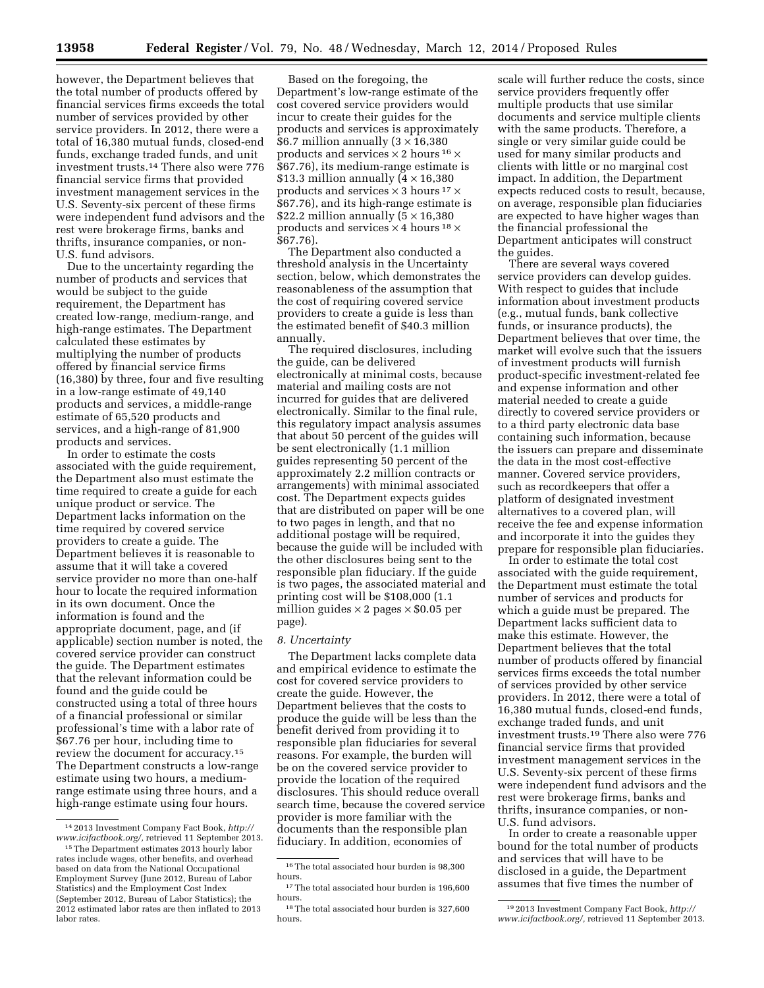however, the Department believes that the total number of products offered by financial services firms exceeds the total number of services provided by other service providers. In 2012, there were a total of 16,380 mutual funds, closed-end funds, exchange traded funds, and unit investment trusts.14 There also were 776 financial service firms that provided investment management services in the U.S. Seventy-six percent of these firms were independent fund advisors and the rest were brokerage firms, banks and thrifts, insurance companies, or non-U.S. fund advisors.

Due to the uncertainty regarding the number of products and services that would be subject to the guide requirement, the Department has created low-range, medium-range, and high-range estimates. The Department calculated these estimates by multiplying the number of products offered by financial service firms (16,380) by three, four and five resulting in a low-range estimate of 49,140 products and services, a middle-range estimate of 65,520 products and services, and a high-range of 81,900 products and services.

In order to estimate the costs associated with the guide requirement, the Department also must estimate the time required to create a guide for each unique product or service. The Department lacks information on the time required by covered service providers to create a guide. The Department believes it is reasonable to assume that it will take a covered service provider no more than one-half hour to locate the required information in its own document. Once the information is found and the appropriate document, page, and (if applicable) section number is noted, the covered service provider can construct the guide. The Department estimates that the relevant information could be found and the guide could be constructed using a total of three hours of a financial professional or similar professional's time with a labor rate of \$67.76 per hour, including time to review the document for accuracy.15 The Department constructs a low-range estimate using two hours, a mediumrange estimate using three hours, and a high-range estimate using four hours.

Based on the foregoing, the Department's low-range estimate of the cost covered service providers would incur to create their guides for the products and services is approximately \$6.7 million annually  $(3 \times 16,380)$ products and services  $\times$  2 hours <sup>16</sup>  $\times$ \$67.76), its medium-range estimate is \$13.3 million annually  $(4 \times 16,380)$ products and services  $\times$  3 hours  $17 \times$ \$67.76), and its high-range estimate is \$22.2 million annually  $(5 \times 16,380)$ products and services  $\times$  4 hours <sup>18</sup>  $\times$ \$67.76).

The Department also conducted a threshold analysis in the Uncertainty section, below, which demonstrates the reasonableness of the assumption that the cost of requiring covered service providers to create a guide is less than the estimated benefit of \$40.3 million annually.

The required disclosures, including the guide, can be delivered electronically at minimal costs, because material and mailing costs are not incurred for guides that are delivered electronically. Similar to the final rule, this regulatory impact analysis assumes that about 50 percent of the guides will be sent electronically (1.1 million guides representing 50 percent of the approximately 2.2 million contracts or arrangements) with minimal associated cost. The Department expects guides that are distributed on paper will be one to two pages in length, and that no additional postage will be required, because the guide will be included with the other disclosures being sent to the responsible plan fiduciary. If the guide is two pages, the associated material and printing cost will be \$108,000 (1.1 million guides  $\times$  2 pages  $\times$  \$0.05 per page).

# *8. Uncertainty*

The Department lacks complete data and empirical evidence to estimate the cost for covered service providers to create the guide. However, the Department believes that the costs to produce the guide will be less than the benefit derived from providing it to responsible plan fiduciaries for several reasons. For example, the burden will be on the covered service provider to provide the location of the required disclosures. This should reduce overall search time, because the covered service provider is more familiar with the documents than the responsible plan fiduciary. In addition, economies of

scale will further reduce the costs, since service providers frequently offer multiple products that use similar documents and service multiple clients with the same products. Therefore, a single or very similar guide could be used for many similar products and clients with little or no marginal cost impact. In addition, the Department expects reduced costs to result, because, on average, responsible plan fiduciaries are expected to have higher wages than the financial professional the Department anticipates will construct the guides.

There are several ways covered service providers can develop guides. With respect to guides that include information about investment products (e.g., mutual funds, bank collective funds, or insurance products), the Department believes that over time, the market will evolve such that the issuers of investment products will furnish product-specific investment-related fee and expense information and other material needed to create a guide directly to covered service providers or to a third party electronic data base containing such information, because the issuers can prepare and disseminate the data in the most cost-effective manner. Covered service providers, such as recordkeepers that offer a platform of designated investment alternatives to a covered plan, will receive the fee and expense information and incorporate it into the guides they prepare for responsible plan fiduciaries.

In order to estimate the total cost associated with the guide requirement, the Department must estimate the total number of services and products for which a guide must be prepared. The Department lacks sufficient data to make this estimate. However, the Department believes that the total number of products offered by financial services firms exceeds the total number of services provided by other service providers. In 2012, there were a total of 16,380 mutual funds, closed-end funds, exchange traded funds, and unit investment trusts.19 There also were 776 financial service firms that provided investment management services in the U.S. Seventy-six percent of these firms were independent fund advisors and the rest were brokerage firms, banks and thrifts, insurance companies, or non-U.S. fund advisors.

In order to create a reasonable upper bound for the total number of products and services that will have to be disclosed in a guide, the Department assumes that five times the number of

<sup>14</sup> 2013 Investment Company Fact Book, *[http://](http://www.icifactbook.org/) [www.icifactbook.org/,](http://www.icifactbook.org/)* retrieved 11 September 2013.

<sup>&</sup>lt;sup>15</sup> The Department estimates 2013 hourly labor rates include wages, other benefits, and overhead based on data from the National Occupational Employment Survey (June 2012, Bureau of Labor Statistics) and the Employment Cost Index (September 2012, Bureau of Labor Statistics); the 2012 estimated labor rates are then inflated to 2013 labor rates.

<sup>16</sup>The total associated hour burden is 98,300 hours.

 $^{\rm 17}$  The total associated hour burden is 196,600 hours.

<sup>18</sup>The total associated hour burden is 327,600 hours.

<sup>19</sup> 2013 Investment Company Fact Book, *[http://](http://www.icifactbook.org/) [www.icifactbook.org/,](http://www.icifactbook.org/)* retrieved 11 September 2013.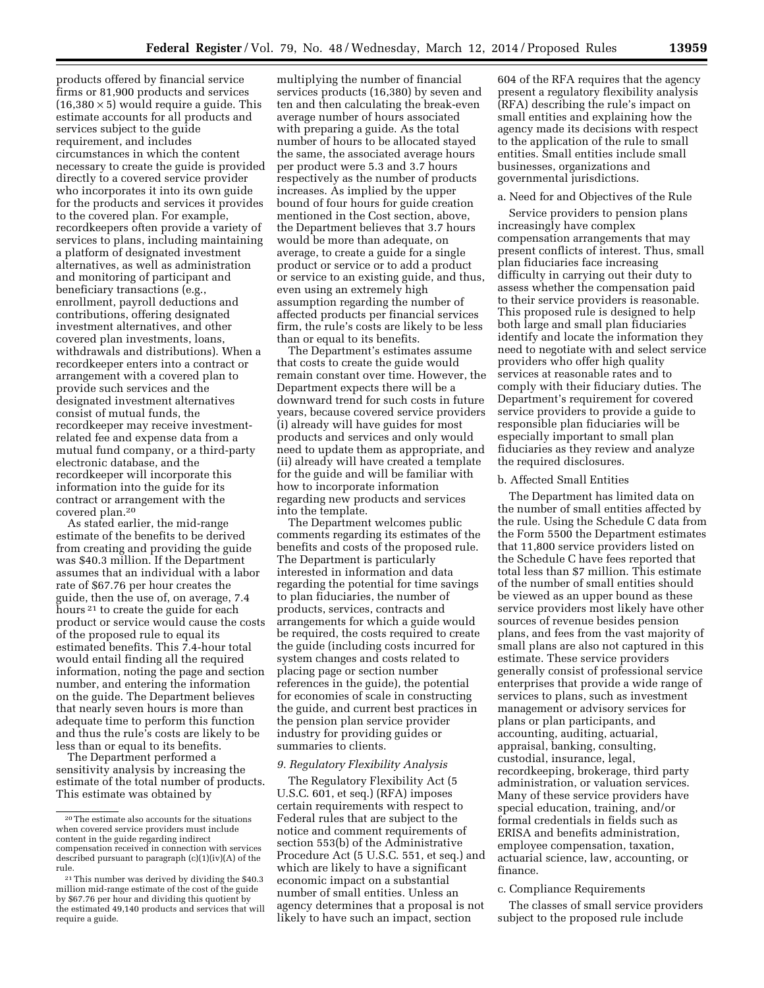products offered by financial service firms or 81,900 products and services  $(16,380 \times 5)$  would require a guide. This estimate accounts for all products and services subject to the guide requirement, and includes circumstances in which the content necessary to create the guide is provided directly to a covered service provider who incorporates it into its own guide for the products and services it provides to the covered plan. For example, recordkeepers often provide a variety of services to plans, including maintaining a platform of designated investment alternatives, as well as administration and monitoring of participant and beneficiary transactions (e.g., enrollment, payroll deductions and contributions, offering designated investment alternatives, and other covered plan investments, loans, withdrawals and distributions). When a recordkeeper enters into a contract or arrangement with a covered plan to provide such services and the designated investment alternatives consist of mutual funds, the recordkeeper may receive investmentrelated fee and expense data from a mutual fund company, or a third-party electronic database, and the recordkeeper will incorporate this information into the guide for its contract or arrangement with the covered plan.20

As stated earlier, the mid-range estimate of the benefits to be derived from creating and providing the guide was \$40.3 million. If the Department assumes that an individual with a labor rate of \$67.76 per hour creates the guide, then the use of, on average, 7.4 hours<sup>21</sup> to create the guide for each product or service would cause the costs of the proposed rule to equal its estimated benefits. This 7.4-hour total would entail finding all the required information, noting the page and section number, and entering the information on the guide. The Department believes that nearly seven hours is more than adequate time to perform this function and thus the rule's costs are likely to be less than or equal to its benefits.

The Department performed a sensitivity analysis by increasing the estimate of the total number of products. This estimate was obtained by

multiplying the number of financial services products (16,380) by seven and ten and then calculating the break-even average number of hours associated with preparing a guide. As the total number of hours to be allocated stayed the same, the associated average hours per product were 5.3 and 3.7 hours respectively as the number of products increases. As implied by the upper bound of four hours for guide creation mentioned in the Cost section, above, the Department believes that 3.7 hours would be more than adequate, on average, to create a guide for a single product or service or to add a product or service to an existing guide, and thus, even using an extremely high assumption regarding the number of affected products per financial services firm, the rule's costs are likely to be less than or equal to its benefits.

The Department's estimates assume that costs to create the guide would remain constant over time. However, the Department expects there will be a downward trend for such costs in future years, because covered service providers (i) already will have guides for most products and services and only would need to update them as appropriate, and (ii) already will have created a template for the guide and will be familiar with how to incorporate information regarding new products and services into the template.

The Department welcomes public comments regarding its estimates of the benefits and costs of the proposed rule. The Department is particularly interested in information and data regarding the potential for time savings to plan fiduciaries, the number of products, services, contracts and arrangements for which a guide would be required, the costs required to create the guide (including costs incurred for system changes and costs related to placing page or section number references in the guide), the potential for economies of scale in constructing the guide, and current best practices in the pension plan service provider industry for providing guides or summaries to clients.

## *9. Regulatory Flexibility Analysis*

The Regulatory Flexibility Act (5 U.S.C. 601, et seq.) (RFA) imposes certain requirements with respect to Federal rules that are subject to the notice and comment requirements of section 553(b) of the Administrative Procedure Act (5 U.S.C. 551, et seq.) and which are likely to have a significant economic impact on a substantial number of small entities. Unless an agency determines that a proposal is not likely to have such an impact, section

604 of the RFA requires that the agency present a regulatory flexibility analysis (RFA) describing the rule's impact on small entities and explaining how the agency made its decisions with respect to the application of the rule to small entities. Small entities include small businesses, organizations and governmental jurisdictions.

# a. Need for and Objectives of the Rule

Service providers to pension plans increasingly have complex compensation arrangements that may present conflicts of interest. Thus, small plan fiduciaries face increasing difficulty in carrying out their duty to assess whether the compensation paid to their service providers is reasonable. This proposed rule is designed to help both large and small plan fiduciaries identify and locate the information they need to negotiate with and select service providers who offer high quality services at reasonable rates and to comply with their fiduciary duties. The Department's requirement for covered service providers to provide a guide to responsible plan fiduciaries will be especially important to small plan fiduciaries as they review and analyze the required disclosures.

## b. Affected Small Entities

The Department has limited data on the number of small entities affected by the rule. Using the Schedule C data from the Form 5500 the Department estimates that 11,800 service providers listed on the Schedule C have fees reported that total less than \$7 million. This estimate of the number of small entities should be viewed as an upper bound as these service providers most likely have other sources of revenue besides pension plans, and fees from the vast majority of small plans are also not captured in this estimate. These service providers generally consist of professional service enterprises that provide a wide range of services to plans, such as investment management or advisory services for plans or plan participants, and accounting, auditing, actuarial, appraisal, banking, consulting, custodial, insurance, legal, recordkeeping, brokerage, third party administration, or valuation services. Many of these service providers have special education, training, and/or formal credentials in fields such as ERISA and benefits administration, employee compensation, taxation, actuarial science, law, accounting, or finance.

## c. Compliance Requirements

The classes of small service providers subject to the proposed rule include

<sup>20</sup>The estimate also accounts for the situations when covered service providers must include content in the guide regarding indirect compensation received in connection with services described pursuant to paragraph (c)(1)(iv)(A) of the rule.

<sup>21</sup>This number was derived by dividing the \$40.3 million mid-range estimate of the cost of the guide by \$67.76 per hour and dividing this quotient by the estimated 49,140 products and services that will require a guide.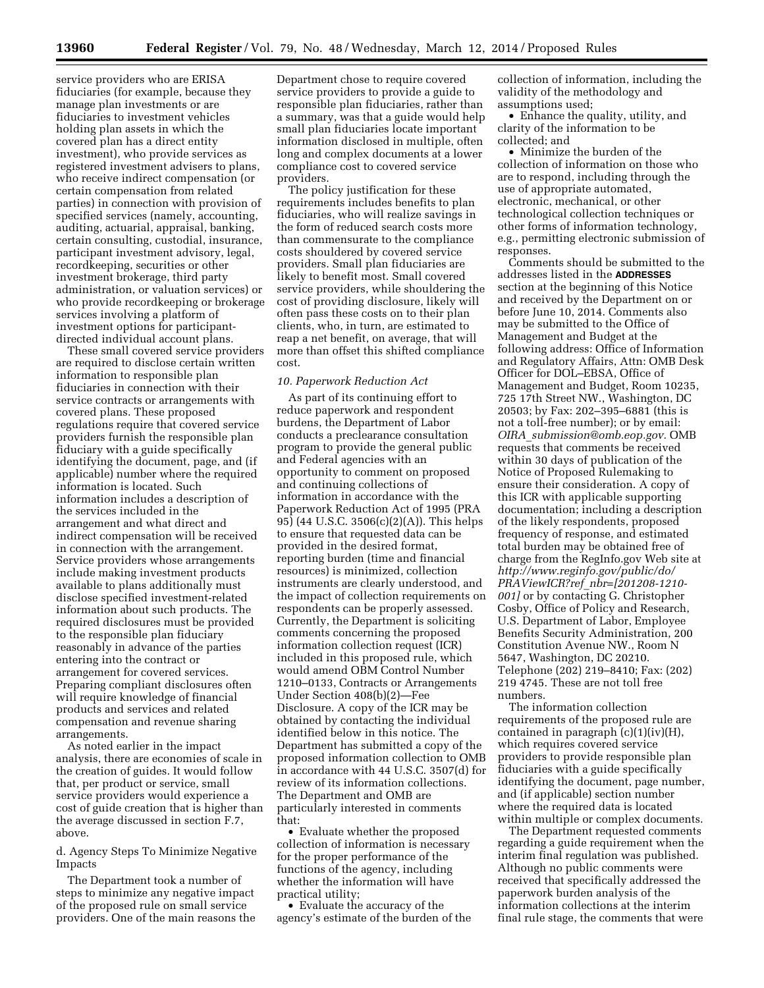service providers who are ERISA fiduciaries (for example, because they manage plan investments or are fiduciaries to investment vehicles holding plan assets in which the covered plan has a direct entity investment), who provide services as registered investment advisers to plans, who receive indirect compensation (or certain compensation from related parties) in connection with provision of specified services (namely, accounting, auditing, actuarial, appraisal, banking, certain consulting, custodial, insurance, participant investment advisory, legal, recordkeeping, securities or other investment brokerage, third party administration, or valuation services) or who provide recordkeeping or brokerage services involving a platform of investment options for participantdirected individual account plans.

These small covered service providers are required to disclose certain written information to responsible plan fiduciaries in connection with their service contracts or arrangements with covered plans. These proposed regulations require that covered service providers furnish the responsible plan fiduciary with a guide specifically identifying the document, page, and (if applicable) number where the required information is located. Such information includes a description of the services included in the arrangement and what direct and indirect compensation will be received in connection with the arrangement. Service providers whose arrangements include making investment products available to plans additionally must disclose specified investment-related information about such products. The required disclosures must be provided to the responsible plan fiduciary reasonably in advance of the parties entering into the contract or arrangement for covered services. Preparing compliant disclosures often will require knowledge of financial products and services and related compensation and revenue sharing arrangements.

As noted earlier in the impact analysis, there are economies of scale in the creation of guides. It would follow that, per product or service, small service providers would experience a cost of guide creation that is higher than the average discussed in section F.7, above.

d. Agency Steps To Minimize Negative Impacts

The Department took a number of steps to minimize any negative impact of the proposed rule on small service providers. One of the main reasons the

Department chose to require covered service providers to provide a guide to responsible plan fiduciaries, rather than a summary, was that a guide would help small plan fiduciaries locate important information disclosed in multiple, often long and complex documents at a lower compliance cost to covered service providers.

The policy justification for these requirements includes benefits to plan fiduciaries, who will realize savings in the form of reduced search costs more than commensurate to the compliance costs shouldered by covered service providers. Small plan fiduciaries are likely to benefit most. Small covered service providers, while shouldering the cost of providing disclosure, likely will often pass these costs on to their plan clients, who, in turn, are estimated to reap a net benefit, on average, that will more than offset this shifted compliance cost.

# *10. Paperwork Reduction Act*

As part of its continuing effort to reduce paperwork and respondent burdens, the Department of Labor conducts a preclearance consultation program to provide the general public and Federal agencies with an opportunity to comment on proposed and continuing collections of information in accordance with the Paperwork Reduction Act of 1995 (PRA 95) (44 U.S.C. 3506(c)(2)(A)). This helps to ensure that requested data can be provided in the desired format, reporting burden (time and financial resources) is minimized, collection instruments are clearly understood, and the impact of collection requirements on respondents can be properly assessed. Currently, the Department is soliciting comments concerning the proposed information collection request (ICR) included in this proposed rule, which would amend OBM Control Number 1210–0133, Contracts or Arrangements Under Section 408(b)(2)—Fee Disclosure. A copy of the ICR may be obtained by contacting the individual identified below in this notice. The Department has submitted a copy of the proposed information collection to OMB in accordance with 44 U.S.C. 3507(d) for review of its information collections. The Department and OMB are particularly interested in comments that:

• Evaluate whether the proposed collection of information is necessary for the proper performance of the functions of the agency, including whether the information will have practical utility;

• Evaluate the accuracy of the agency's estimate of the burden of the collection of information, including the validity of the methodology and assumptions used;

• Enhance the quality, utility, and clarity of the information to be collected; and

• Minimize the burden of the collection of information on those who are to respond, including through the use of appropriate automated, electronic, mechanical, or other technological collection techniques or other forms of information technology, e.g., permitting electronic submission of responses.

Comments should be submitted to the addresses listed in the **ADDRESSES** section at the beginning of this Notice and received by the Department on or before June 10, 2014. Comments also may be submitted to the Office of Management and Budget at the following address: Office of Information and Regulatory Affairs, Attn: OMB Desk Officer for DOL–EBSA, Office of Management and Budget, Room 10235, 725 17th Street NW., Washington, DC 20503; by Fax: 202–395–6881 (this is not a toll-free number); or by email: *OIRA*\_*[submission@omb.eop.gov.](mailto:OIRA_submission@omb.eop.gov)* OMB requests that comments be received within 30 days of publication of the Notice of Proposed Rulemaking to ensure their consideration. A copy of this ICR with applicable supporting documentation; including a description of the likely respondents, proposed frequency of response, and estimated total burden may be obtained free of charge from the RegInfo.gov Web site at *[http://www.reginfo.gov/public/do/](http://www.reginfo.gov/public/do/PRAViewICR?ref_nbr=[201208-1210-001) PRAViewICR?ref*\_*[nbr=\[201208-1210-](http://www.reginfo.gov/public/do/PRAViewICR?ref_nbr=[201208-1210-001)  [001\]](http://www.reginfo.gov/public/do/PRAViewICR?ref_nbr=[201208-1210-001)* or by contacting G. Christopher Cosby, Office of Policy and Research, U.S. Department of Labor, Employee Benefits Security Administration, 200 Constitution Avenue NW., Room N 5647, Washington, DC 20210. Telephone (202) 219–8410; Fax: (202) 219 4745. These are not toll free numbers.

The information collection requirements of the proposed rule are contained in paragraph  $(c)(1)(iv)(H)$ , which requires covered service providers to provide responsible plan fiduciaries with a guide specifically identifying the document, page number, and (if applicable) section number where the required data is located within multiple or complex documents.

The Department requested comments regarding a guide requirement when the interim final regulation was published. Although no public comments were received that specifically addressed the paperwork burden analysis of the information collections at the interim final rule stage, the comments that were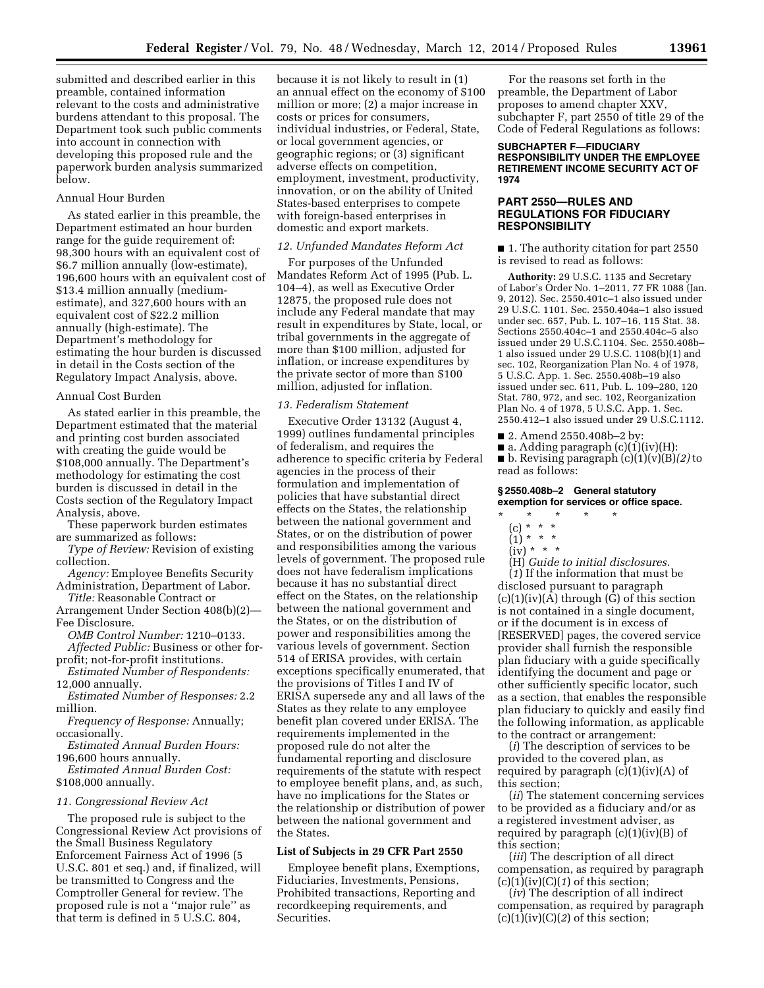submitted and described earlier in this preamble, contained information relevant to the costs and administrative burdens attendant to this proposal. The Department took such public comments into account in connection with developing this proposed rule and the paperwork burden analysis summarized below.

# Annual Hour Burden

As stated earlier in this preamble, the Department estimated an hour burden range for the guide requirement of: 98,300 hours with an equivalent cost of \$6.7 million annually (low-estimate), 196,600 hours with an equivalent cost of \$13.4 million annually (mediumestimate), and 327,600 hours with an equivalent cost of \$22.2 million annually (high-estimate). The Department's methodology for estimating the hour burden is discussed in detail in the Costs section of the Regulatory Impact Analysis, above.

# Annual Cost Burden

As stated earlier in this preamble, the Department estimated that the material and printing cost burden associated with creating the guide would be \$108,000 annually. The Department's methodology for estimating the cost burden is discussed in detail in the Costs section of the Regulatory Impact Analysis, above.

These paperwork burden estimates are summarized as follows:

*Type of Review:* Revision of existing collection.

*Agency:* Employee Benefits Security Administration, Department of Labor.

*Title:* Reasonable Contract or Arrangement Under Section 408(b)(2)— Fee Disclosure.

*OMB Control Number:* 1210–0133. *Affected Public:* Business or other for-

profit; not-for-profit institutions. *Estimated Number of Respondents:* 

12,000 annually.

*Estimated Number of Responses:* 2.2 million.

*Frequency of Response:* Annually; occasionally.

*Estimated Annual Burden Hours:*  196,600 hours annually.

*Estimated Annual Burden Cost:*  \$108,000 annually.

*11. Congressional Review Act* 

The proposed rule is subject to the Congressional Review Act provisions of the Small Business Regulatory Enforcement Fairness Act of 1996 (5 U.S.C. 801 et seq.) and, if finalized, will be transmitted to Congress and the Comptroller General for review. The proposed rule is not a ''major rule'' as that term is defined in 5 U.S.C. 804,

because it is not likely to result in (1) an annual effect on the economy of \$100 million or more; (2) a major increase in costs or prices for consumers, individual industries, or Federal, State, or local government agencies, or geographic regions; or (3) significant adverse effects on competition, employment, investment, productivity, innovation, or on the ability of United States-based enterprises to compete with foreign-based enterprises in domestic and export markets.

# *12. Unfunded Mandates Reform Act*

For purposes of the Unfunded Mandates Reform Act of 1995 (Pub. L. 104–4), as well as Executive Order 12875, the proposed rule does not include any Federal mandate that may result in expenditures by State, local, or tribal governments in the aggregate of more than \$100 million, adjusted for inflation, or increase expenditures by the private sector of more than \$100 million, adjusted for inflation.

# *13. Federalism Statement*

Executive Order 13132 (August 4, 1999) outlines fundamental principles of federalism, and requires the adherence to specific criteria by Federal agencies in the process of their formulation and implementation of policies that have substantial direct effects on the States, the relationship between the national government and States, or on the distribution of power and responsibilities among the various levels of government. The proposed rule does not have federalism implications because it has no substantial direct effect on the States, on the relationship between the national government and the States, or on the distribution of power and responsibilities among the various levels of government. Section 514 of ERISA provides, with certain exceptions specifically enumerated, that the provisions of Titles I and IV of ERISA supersede any and all laws of the States as they relate to any employee benefit plan covered under ERISA. The requirements implemented in the proposed rule do not alter the fundamental reporting and disclosure requirements of the statute with respect to employee benefit plans, and, as such, have no implications for the States or the relationship or distribution of power between the national government and the States.

## **List of Subjects in 29 CFR Part 2550**

Employee benefit plans, Exemptions, Fiduciaries, Investments, Pensions, Prohibited transactions, Reporting and recordkeeping requirements, and Securities.

For the reasons set forth in the preamble, the Department of Labor proposes to amend chapter XXV, subchapter F, part 2550 of title 29 of the Code of Federal Regulations as follows:

#### **SUBCHAPTER F—FIDUCIARY RESPONSIBILITY UNDER THE EMPLOYEE RETIREMENT INCOME SECURITY ACT OF 1974**

# **PART 2550—RULES AND REGULATIONS FOR FIDUCIARY RESPONSIBILITY**

■ 1. The authority citation for part 2550 is revised to read as follows:

**Authority:** 29 U.S.C. 1135 and Secretary of Labor's Order No. 1–2011, 77 FR 1088 (Jan. 9, 2012). Sec. 2550.401c–1 also issued under 29 U.S.C. 1101. Sec. 2550.404a–1 also issued under sec. 657, Pub. L. 107–16, 115 Stat. 38. Sections 2550.404c–1 and 2550.404c–5 also issued under 29 U.S.C.1104. Sec. 2550.408b– 1 also issued under 29 U.S.C. 1108(b)(1) and sec. 102, Reorganization Plan No. 4 of 1978, 5 U.S.C. App. 1. Sec. 2550.408b–19 also issued under sec. 611, Pub. L. 109–280, 120 Stat. 780, 972, and sec. 102, Reorganization Plan No. 4 of 1978, 5 U.S.C. App. 1. Sec. 2550.412–1 also issued under 29 U.S.C.1112.

■ 2. Amend 2550.408b-2 by:

 $\blacksquare$  a. Adding paragraph  $(c)(1)(iv)(H)$ :

■ b. Revising paragraph (c)(1)(v)(B)*(2)* to read as follows:

# **§ 2550.408b–2 General statutory exemption for services or office space.**

- \* \* \* \* \*
	- (c) \* \* \*
	- $(1) * * * *$  $(iv) * * * *$
	- (H) *Guide to initial disclosures.*

(*1*) If the information that must be disclosed pursuant to paragraph  $(c)(1)(iv)(A)$  through  $(G)$  of this section is not contained in a single document, or if the document is in excess of [RESERVED] pages, the covered service provider shall furnish the responsible plan fiduciary with a guide specifically identifying the document and page or other sufficiently specific locator, such as a section, that enables the responsible plan fiduciary to quickly and easily find the following information, as applicable to the contract or arrangement:

(*i*) The description of services to be provided to the covered plan, as required by paragraph  $(c)(1)(iv)(A)$  of this section;

(*ii*) The statement concerning services to be provided as a fiduciary and/or as a registered investment adviser, as required by paragraph (c)(1)(iv)(B) of this section;

(*iii*) The description of all direct compensation, as required by paragraph  $(c)(1)(iv)(C)(1)$  of this section;

(*iv*) The description of all indirect compensation, as required by paragraph  $(c)(1)(iv)(C)(2)$  of this section;